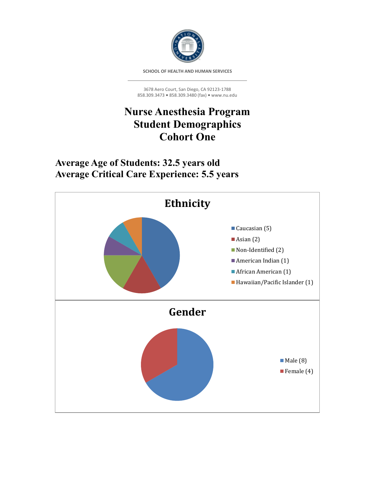

**SCHOOL OF HEALTH AND HUMAN SERVICES**

3678 Aero Court, San Diego, CA 92123-1788 858.309.3473 **•** 858.309.3480 (fax) **•** www.nu.edu

# **Nurse Anesthesia Program Student Demographics Cohort One**

**Average Age of Students: 32.5 years old Average Critical Care Experience: 5.5 years**

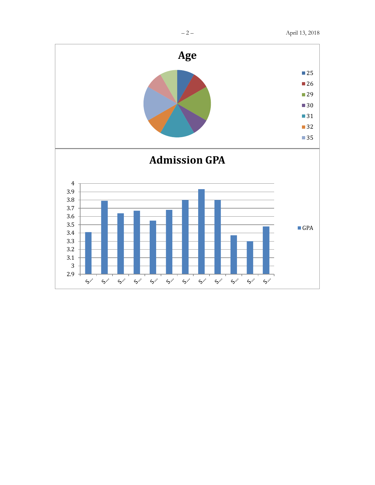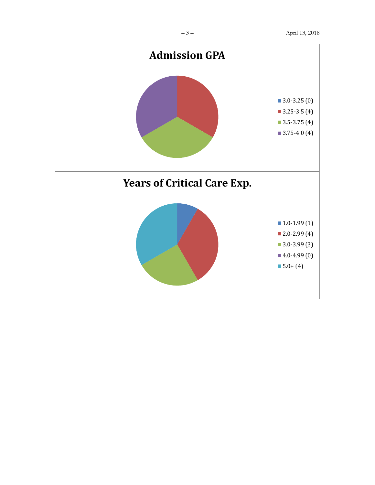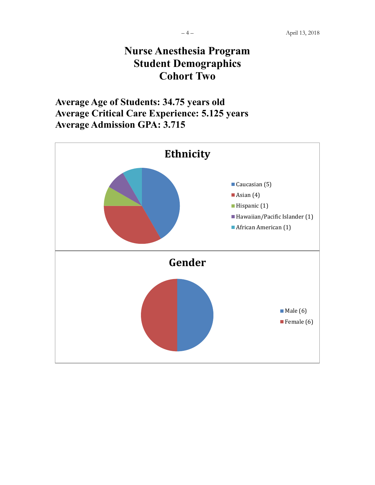## **Nurse Anesthesia Program Student Demographics Cohort Two**

**Average Age of Students: 34.75 years old Average Critical Care Experience: 5.125 years Average Admission GPA: 3.715**

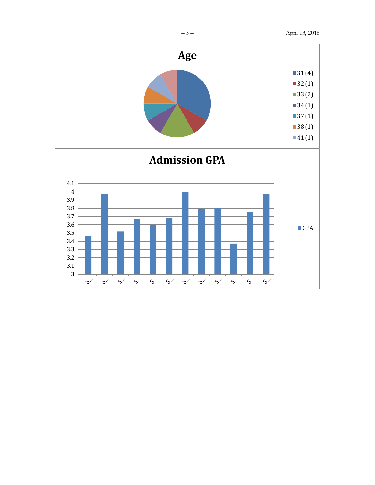

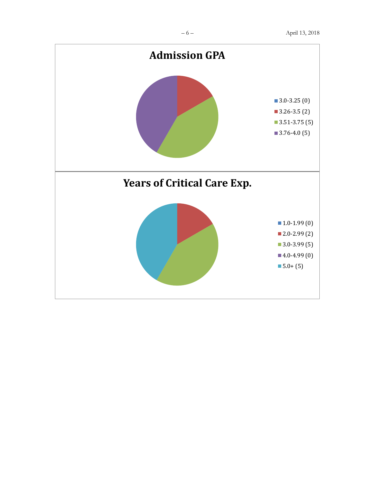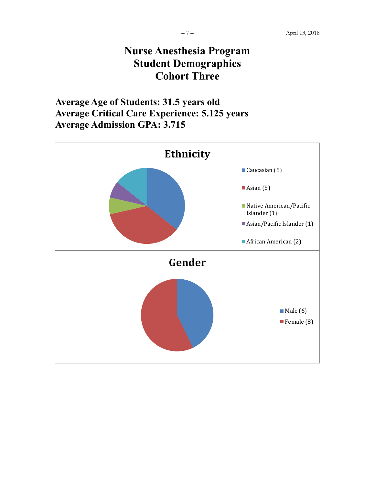# **Nurse Anesthesia Program Student Demographics Cohort Three**

**Average Age of Students: 31.5 years old Average Critical Care Experience: 5.125 years Average Admission GPA: 3.715**

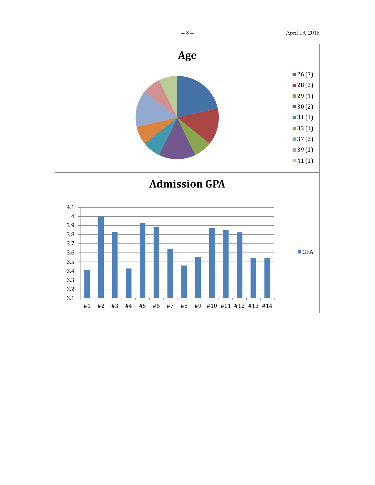

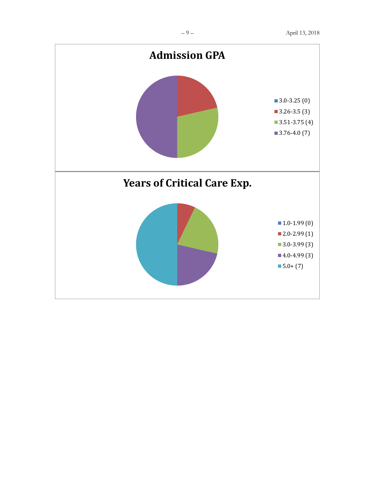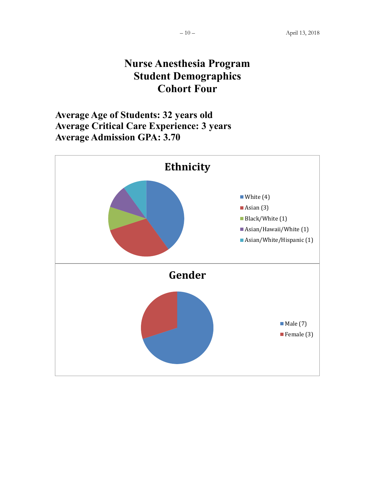#### **Nurse Anesthesia Program Student Demographics Cohort Four**

**Average Age of Students: 32 years old Average Critical Care Experience: 3 years Average Admission GPA: 3.70**

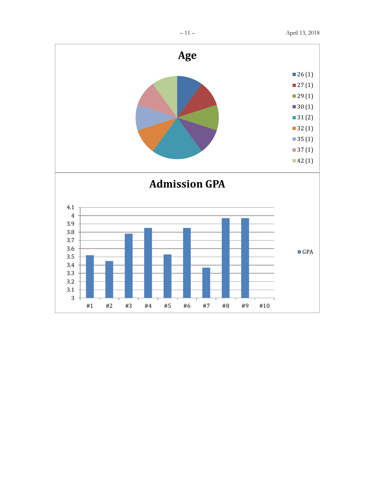

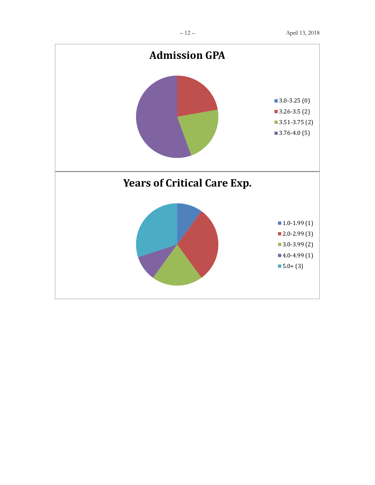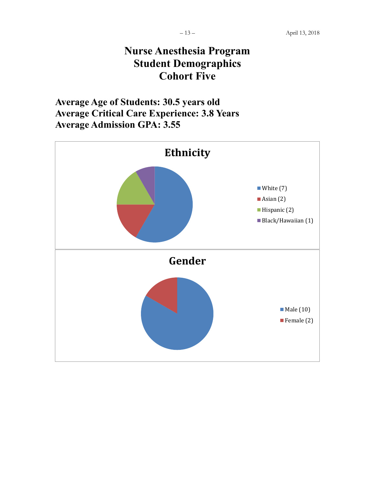## **Nurse Anesthesia Program Student Demographics Cohort Five**

**Average Age of Students: 30.5 years old Average Critical Care Experience: 3.8 Years Average Admission GPA: 3.55**

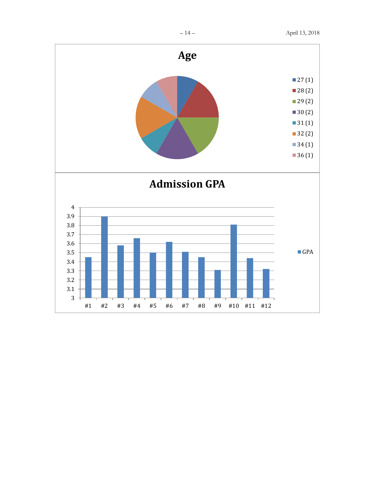

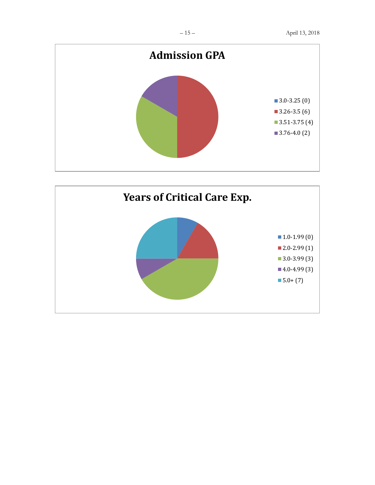

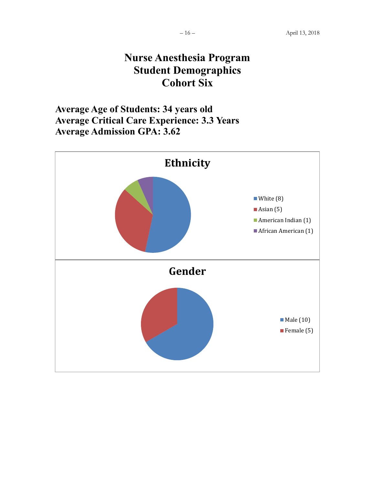### **Nurse Anesthesia Program Student Demographics Cohort Six**

**Average Age of Students: 34 years old Average Critical Care Experience: 3.3 Years Average Admission GPA: 3.62**

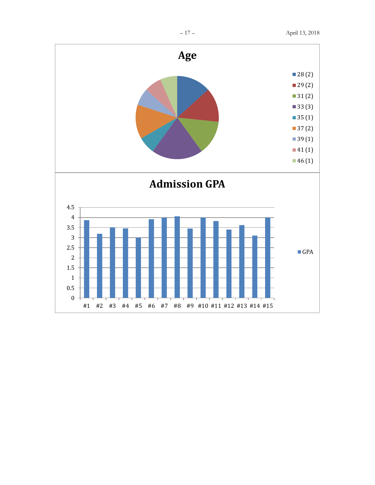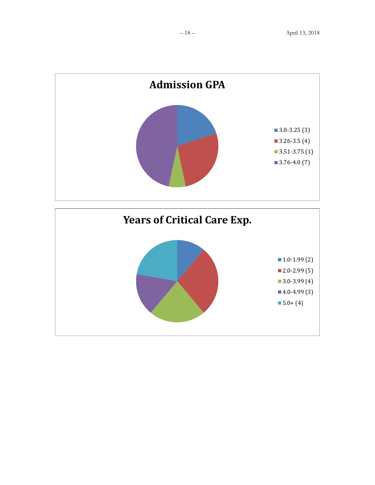

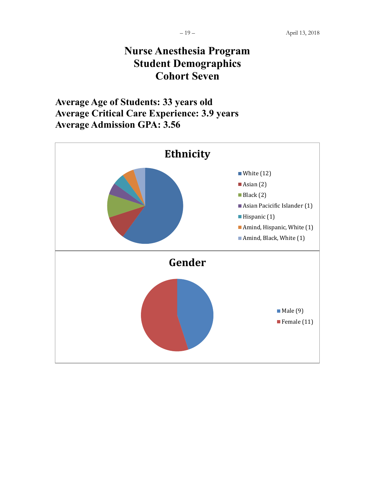### **Nurse Anesthesia Program Student Demographics Cohort Seven**

**Average Age of Students: 33 years old Average Critical Care Experience: 3.9 years Average Admission GPA: 3.56**

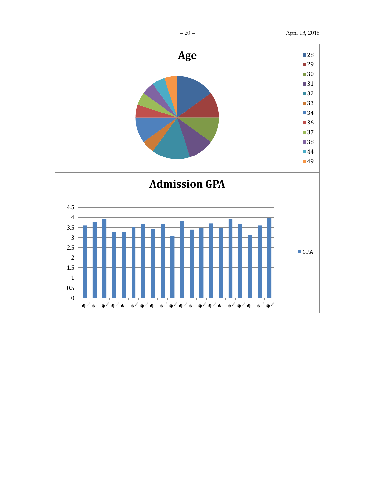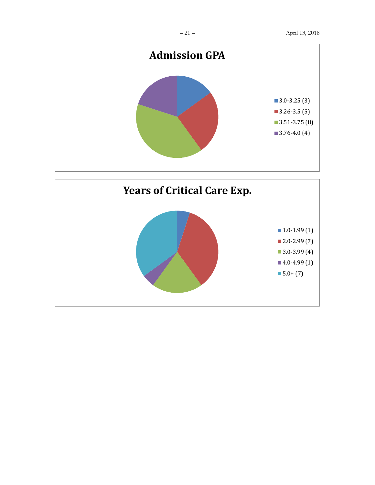